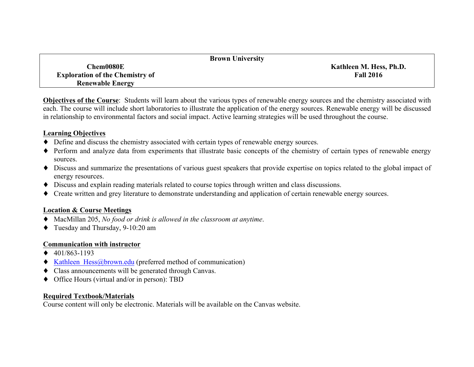| <b>Brown University</b>                |                         |
|----------------------------------------|-------------------------|
| Chem0080E                              | Kathleen M. Hess, Ph.D. |
| <b>Exploration of the Chemistry of</b> | <b>Fall 2016</b>        |
| <b>Renewable Energy</b>                |                         |

**Objectives of the Course**: Students will learn about the various types of renewable energy sources and the chemistry associated with each. The course will include short laboratories to illustrate the application of the energy sources. Renewable energy will be discussed in relationship to environmental factors and social impact. Active learning strategies will be used throughout the course.

#### **Learning Objectives**

- ♦ Define and discuss the chemistry associated with certain types of renewable energy sources.
- ♦ Perform and analyze data from experiments that illustrate basic concepts of the chemistry of certain types of renewable energy sources.
- ♦ Discuss and summarize the presentations of various guest speakers that provide expertise on topics related to the global impact of energy resources.
- ♦ Discuss and explain reading materials related to course topics through written and class discussions.
- ♦ Create written and grey literature to demonstrate understanding and application of certain renewable energy sources.

#### **Location & Course Meetings**

- ♦ MacMillan 205, *No food or drink is allowed in the classroom at anytime*.
- ♦ Tuesday and Thursday, 9-10:20 am

#### **Communication with instructor**

- $\triangleleft$  401/863-1193
- ♦ Kathleen\_Hess@brown.edu (preferred method of communication)
- ♦ Class announcements will be generated through Canvas.
- ♦ Office Hours (virtual and/or in person): TBD

## **Required Textbook/Materials**

Course content will only be electronic. Materials will be available on the Canvas website.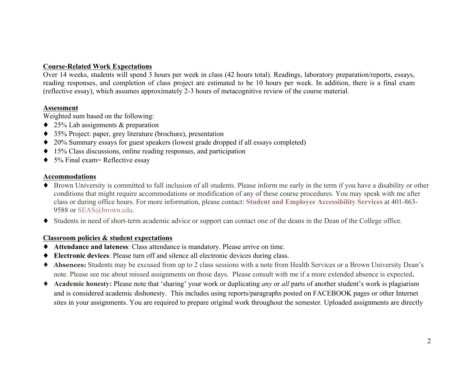## **Course-Related Work Expectations**

Over 14 weeks, students will spend 3 hours per week in class (42 hours total). Readings, laboratory preparation/reports, essays, reading responses, and completion of class project are estimated to be 10 hours per week. In addition, there is a final exam (reflective essay), which assumes approximately 2-3 hours of metacognitive review of the course material.

#### **Assessment**

Weighted sum based on the following:

- $\triangle$  25% Lab assignments & preparation
- ♦ 35% Project: paper, grey literature (brochure), presentation
- ♦ 20% Summary essays for guest speakers (lowest grade dropped if all essays completed)
- ♦ 15% Class discussions, online reading responses, and participation
- $\triangle$  5% Final exam= Reflective essay

#### **Accommodations**

- ♦ Brown University is committed to full inclusion of all students. Please inform me early in the term if you have a disability or other conditions that might require accommodations or modification of any of these course procedures. You may speak with me after class or during office hours. For more information, please contact: **Student and Employee Accessibility Services** at 401-863- 9588 or SEAS@brown.edu.
- ♦ Students in need of short-term academic advice or support can contact one of the deans in the Dean of the College office.

#### **Classroom policies & student expectations**

- ♦ **Attendance and lateness**: Class attendance is mandatory. Please arrive on time.
- **Electronic devices**: Please turn off and silence all electronic devices during class.
- ♦ **Absences:** Students may be excused from up to 2 class sessions with a note from Health Services or a Brown University Dean's note. Please see me about missed assignments on those days. Please consult with me if a more extended absence is expected**.**
- ♦ **Academic honesty:** Please note that 'sharing' your work or duplicating *any* or *all* parts of another student's work is plagiarism and is considered academic dishonesty. This includes using reports/paragraphs posted on FACEBOOK pages or other Internet sites in your assignments. You are required to prepare original work throughout the semester. Uploaded assignments are directly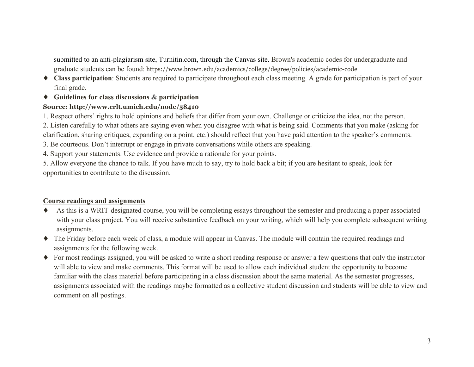submitted to an anti-plagiarism site, Turnitin.com, through the Canvas site. Brown's academic codes for undergraduate and graduate students can be found: https://www.brown.edu/academics/college/degree/policies/academic-code

- ♦ **Class participation**: Students are required to participate throughout each class meeting. A grade for participation is part of your final grade.
- ♦ **Guidelines for class discussions & participation**

# **Source: http://www.crlt.umich.edu/node/58410**

1. Respect others' rights to hold opinions and beliefs that differ from your own. Challenge or criticize the idea, not the person.

2. Listen carefully to what others are saying even when you disagree with what is being said. Comments that you make (asking for clarification, sharing critiques, expanding on a point, etc.) should reflect that you have paid attention to the speaker's comments.

3. Be courteous. Don't interrupt or engage in private conversations while others are speaking.

4. Support your statements. Use evidence and provide a rationale for your points.

5. Allow everyone the chance to talk. If you have much to say, try to hold back a bit; if you are hesitant to speak, look for opportunities to contribute to the discussion.

## **Course readings and assignments**

- ♦ As this is a WRIT-designated course, you will be completing essays throughout the semester and producing a paper associated with your class project. You will receive substantive feedback on your writing, which will help you complete subsequent writing assignments.
- ♦ The Friday before each week of class, a module will appear in Canvas. The module will contain the required readings and assignments for the following week.
- ♦ For most readings assigned, you will be asked to write a short reading response or answer a few questions that only the instructor will able to view and make comments. This format will be used to allow each individual student the opportunity to become familiar with the class material before participating in a class discussion about the same material. As the semester progresses, assignments associated with the readings maybe formatted as a collective student discussion and students will be able to view and comment on all postings.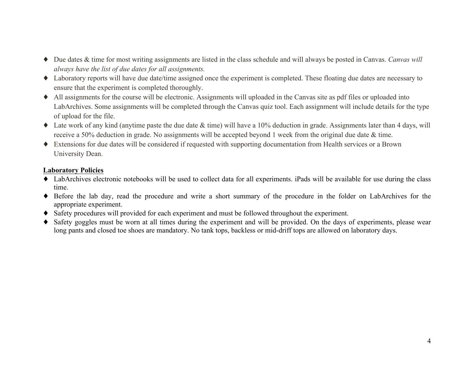- ♦ Due dates & time for most writing assignments are listed in the class schedule and will always be posted in Canvas. *Canvas will always have the list of due dates for all assignments.*
- ♦ Laboratory reports will have due date/time assigned once the experiment is completed. These floating due dates are necessary to ensure that the experiment is completed thoroughly.
- ♦ All assignments for the course will be electronic. Assignments will uploaded in the Canvas site as pdf files or uploaded into LabArchives. Some assignments will be completed through the Canvas quiz tool. Each assignment will include details for the type of upload for the file.
- ♦ Late work of any kind (anytime paste the due date & time) will have a 10% deduction in grade. Assignments later than 4 days, will receive a 50% deduction in grade. No assignments will be accepted beyond 1 week from the original due date & time.
- ♦ Extensions for due dates will be considered if requested with supporting documentation from Health services or a Brown University Dean.

### **Laboratory Policies**

- ♦ LabArchives electronic notebooks will be used to collect data for all experiments. iPads will be available for use during the class time.
- ♦ Before the lab day, read the procedure and write a short summary of the procedure in the folder on LabArchives for the appropriate experiment.
- ♦ Safety procedures will provided for each experiment and must be followed throughout the experiment.
- ♦ Safety goggles must be worn at all times during the experiment and will be provided. On the days of experiments, please wear long pants and closed toe shoes are mandatory. No tank tops, backless or mid-driff tops are allowed on laboratory days.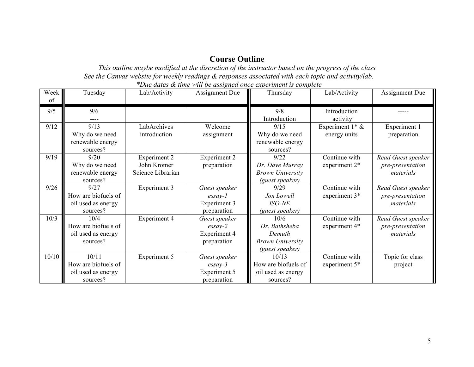# **Course Outline**

*This outline maybe modified at the discretion of the instructor based on the progress of the class See the Canvas website for weekly readings & responses associated with each topic and activity/lab. \*Due dates & time will be assigned once experiment is complete*

| Week<br>of | Tuesday             | Lab/Activity        | <b>Assignment Due</b>                                                    | Thursday                | Lab/Activity       | <b>Assignment Due</b> |
|------------|---------------------|---------------------|--------------------------------------------------------------------------|-------------------------|--------------------|-----------------------|
|            |                     |                     |                                                                          |                         |                    |                       |
| 9/5        | 9/6                 |                     |                                                                          | 9/8                     | Introduction       |                       |
|            |                     |                     |                                                                          | Introduction            | activity           |                       |
| 9/12       | 9/13                | LabArchives         | Welcome                                                                  | 9/15                    | Experiment $1^*$ & | Experiment 1          |
|            | Why do we need      | introduction        | assignment                                                               | Why do we need          | energy units       | preparation           |
|            | renewable energy    |                     |                                                                          | renewable energy        |                    |                       |
|            | sources?            |                     |                                                                          | sources?                |                    |                       |
| 9/19       | 9/20                | <b>Experiment 2</b> | Experiment 2                                                             | 9/22                    | Continue with      | Read Guest speaker    |
|            | Why do we need      | John Kromer         | preparation                                                              | Dr. Dave Murray         | experiment 2*      | pre-presentation      |
|            | renewable energy    | Science Librarian   |                                                                          | <b>Brown University</b> |                    | materials             |
|            | sources?            |                     |                                                                          | (guest speaker)         |                    |                       |
| 9/26       | 9/27                | Experiment 3        | Guest speaker                                                            | 9/29                    | Continue with      | Read Guest speaker    |
|            | How are biofuels of |                     | $\ensuremath{\textit{essav-1}}$                                          | Jon Lowell              | experiment 3*      | pre-presentation      |
|            | oil used as energy  |                     | Experiment 3                                                             | <b>ISO-NE</b>           |                    | materials             |
|            | sources?            |                     | preparation                                                              | (guest speaker)         |                    |                       |
| 10/3       | 10/4                | <b>Experiment 4</b> | Guest speaker                                                            | 10/6                    | Continue with      | Read Guest speaker    |
|            | How are biofuels of |                     | $\ensuremath{\textit{ess}}\xspace$<br>$\ensuremath{\textit{ays}}\xspace$ | Dr. Bathsheba           | experiment 4*      | pre-presentation      |
|            | oil used as energy  |                     | <b>Experiment 4</b>                                                      | Demuth                  |                    | materials             |
|            | sources?            |                     | preparation                                                              | <b>Brown University</b> |                    |                       |
|            |                     |                     |                                                                          | (guest speaker)         |                    |                       |
| 10/10      | 10/11               | Experiment 5        | Guest speaker                                                            | 10/13                   | Continue with      | Topic for class       |
|            | How are biofuels of |                     | $\ensuremath{\textit{ess}}\xspace$<br>$\ensuremath{\textit{ays}}\xspace$ | How are biofuels of     | experiment 5*      | project               |
|            | oil used as energy  |                     | Experiment 5                                                             | oil used as energy      |                    |                       |
|            | sources?            |                     | preparation                                                              | sources?                |                    |                       |